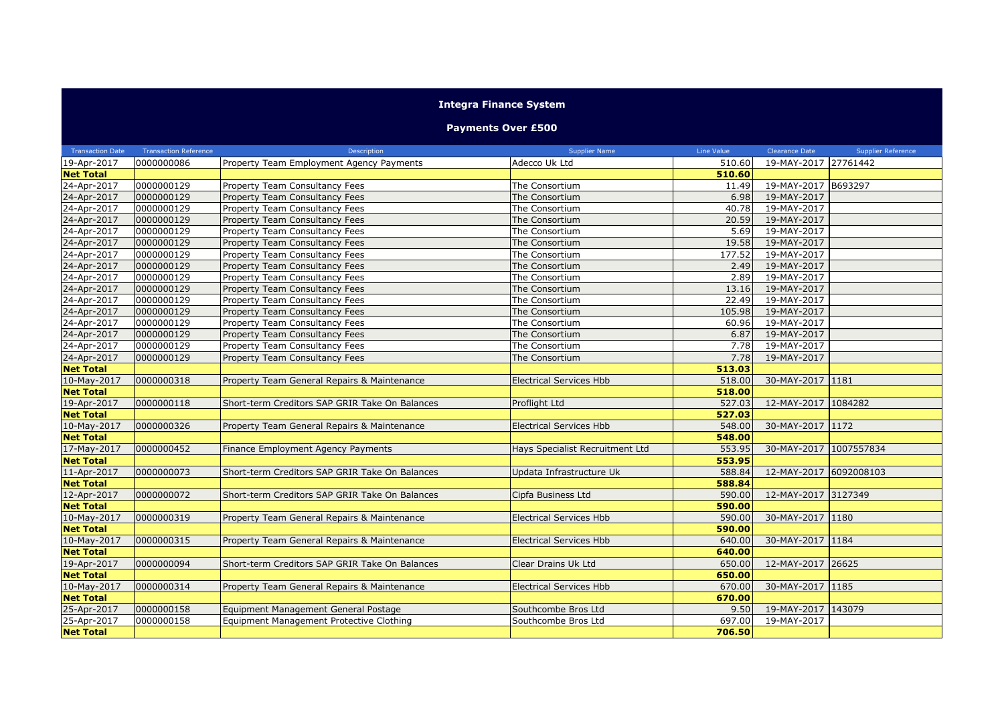## **Integra Finance System**

## **Payments Over £500**

| <b>Transaction Date</b> | <b>Transaction Reference</b> | Description                                    | <b>Supplier Name</b>            | Line Value | Clearance Date         | <b>Supplier Reference</b> |
|-------------------------|------------------------------|------------------------------------------------|---------------------------------|------------|------------------------|---------------------------|
| 19-Apr-2017             | 0000000086                   | Property Team Employment Agency Payments       | Adecco Uk Ltd                   | 510.60     | 19-MAY-2017 27761442   |                           |
| <b>Net Total</b>        |                              |                                                |                                 | 510.60     |                        |                           |
| 24-Apr-2017             | 0000000129                   | Property Team Consultancy Fees                 | The Consortium                  | 11.49      | 19-MAY-2017 B693297    |                           |
| 24-Apr-2017             | 0000000129                   | Property Team Consultancy Fees                 | The Consortium                  | 6.98       | 19-MAY-2017            |                           |
| 24-Apr-2017             | 0000000129                   | Property Team Consultancy Fees                 | The Consortium                  | 40.78      | 19-MAY-2017            |                           |
| 24-Apr-2017             | 0000000129                   | Property Team Consultancy Fees                 | The Consortium                  | 20.59      | 19-MAY-2017            |                           |
| 24-Apr-2017             | 0000000129                   | Property Team Consultancy Fees                 | The Consortium                  | 5.69       | 19-MAY-2017            |                           |
| 24-Apr-2017             | 0000000129                   | Property Team Consultancy Fees                 | The Consortium                  | 19.58      | 19-MAY-2017            |                           |
| 24-Apr-2017             | 0000000129                   | Property Team Consultancy Fees                 | The Consortium                  | 177.52     | 19-MAY-2017            |                           |
| 24-Apr-2017             | 0000000129                   | Property Team Consultancy Fees                 | The Consortium                  | 2.49       | 19-MAY-2017            |                           |
| 24-Apr-2017             | 0000000129                   | Property Team Consultancy Fees                 | The Consortium                  | 2.89       | 19-MAY-2017            |                           |
| 24-Apr-2017             | 0000000129                   | Property Team Consultancy Fees                 | The Consortium                  | 13.16      | 19-MAY-2017            |                           |
| 24-Apr-2017             | 0000000129                   | Property Team Consultancy Fees                 | The Consortium                  | 22.49      | 19-MAY-2017            |                           |
| 24-Apr-2017             | 0000000129                   | Property Team Consultancy Fees                 | The Consortium                  | 105.98     | 19-MAY-2017            |                           |
| 24-Apr-2017             | 0000000129                   | Property Team Consultancy Fees                 | The Consortium                  | 60.96      | 19-MAY-2017            |                           |
| 24-Apr-2017             | 0000000129                   | Property Team Consultancy Fees                 | The Consortium                  | 6.87       | 19-MAY-2017            |                           |
| 24-Apr-2017             | 0000000129                   | Property Team Consultancy Fees                 | The Consortium                  | 7.78       | 19-MAY-2017            |                           |
| 24-Apr-2017             | 0000000129                   | Property Team Consultancy Fees                 | The Consortium                  | 7.78       | 19-MAY-2017            |                           |
| <b>Net Total</b>        |                              |                                                |                                 | 513.03     |                        |                           |
| 10-May-2017             | 0000000318                   | Property Team General Repairs & Maintenance    | <b>Electrical Services Hbb</b>  | 518.00     | 30-MAY-2017 1181       |                           |
| <b>Net Total</b>        |                              |                                                |                                 | 518.00     |                        |                           |
| 19-Apr-2017             | 0000000118                   | Short-term Creditors SAP GRIR Take On Balances | Proflight Ltd                   | 527.03     | 12-MAY-2017 1084282    |                           |
| <b>Net Total</b>        |                              |                                                |                                 | 527.03     |                        |                           |
| 10-May-2017             | 0000000326                   | Property Team General Repairs & Maintenance    | <b>Electrical Services Hbb</b>  | 548.00     | 30-MAY-2017 1172       |                           |
| <b>Net Total</b>        |                              |                                                |                                 | 548.00     |                        |                           |
| 17-May-2017             | 0000000452                   | Finance Employment Agency Payments             | Hays Specialist Recruitment Ltd | 553.95     | 30-MAY-2017 1007557834 |                           |
| <b>Net Total</b>        |                              |                                                |                                 | 553.95     |                        |                           |
| 11-Apr-2017             | 0000000073                   | Short-term Creditors SAP GRIR Take On Balances | Updata Infrastructure Uk        | 588.84     | 12-MAY-2017 6092008103 |                           |
| <b>Net Total</b>        |                              |                                                |                                 | 588.84     |                        |                           |
| 12-Apr-2017             | 0000000072                   | Short-term Creditors SAP GRIR Take On Balances | Cipfa Business Ltd              | 590.00     | 12-MAY-2017 3127349    |                           |
| <b>Net Total</b>        |                              |                                                |                                 | 590.00     |                        |                           |
| 10-May-2017             | 0000000319                   | Property Team General Repairs & Maintenance    | <b>Electrical Services Hbb</b>  | 590.00     | 30-MAY-2017 1180       |                           |
| <b>Net Total</b>        |                              |                                                |                                 | 590.00     |                        |                           |
| 10-May-2017             | 0000000315                   | Property Team General Repairs & Maintenance    | <b>Electrical Services Hbb</b>  | 640.00     | 30-MAY-2017 1184       |                           |
| <b>Net Total</b>        |                              |                                                |                                 | 640.00     |                        |                           |
| 19-Apr-2017             | 0000000094                   | Short-term Creditors SAP GRIR Take On Balances | Clear Drains Uk Ltd             | 650.00     | 12-MAY-2017 26625      |                           |
| <b>Net Total</b>        |                              |                                                |                                 | 650.00     |                        |                           |
| 10-May-2017             | 0000000314                   | Property Team General Repairs & Maintenance    | <b>Electrical Services Hbb</b>  | 670.00     | 30-MAY-2017 1185       |                           |
| <b>Net Total</b>        |                              |                                                |                                 | 670.00     |                        |                           |
| 25-Apr-2017             | 0000000158                   | Equipment Management General Postage           | Southcombe Bros Ltd             | 9.50       | 19-MAY-2017 143079     |                           |
| 25-Apr-2017             | 0000000158                   | Equipment Management Protective Clothing       | Southcombe Bros Ltd             | 697.00     | 19-MAY-2017            |                           |
| <b>Net Total</b>        |                              |                                                |                                 | 706.50     |                        |                           |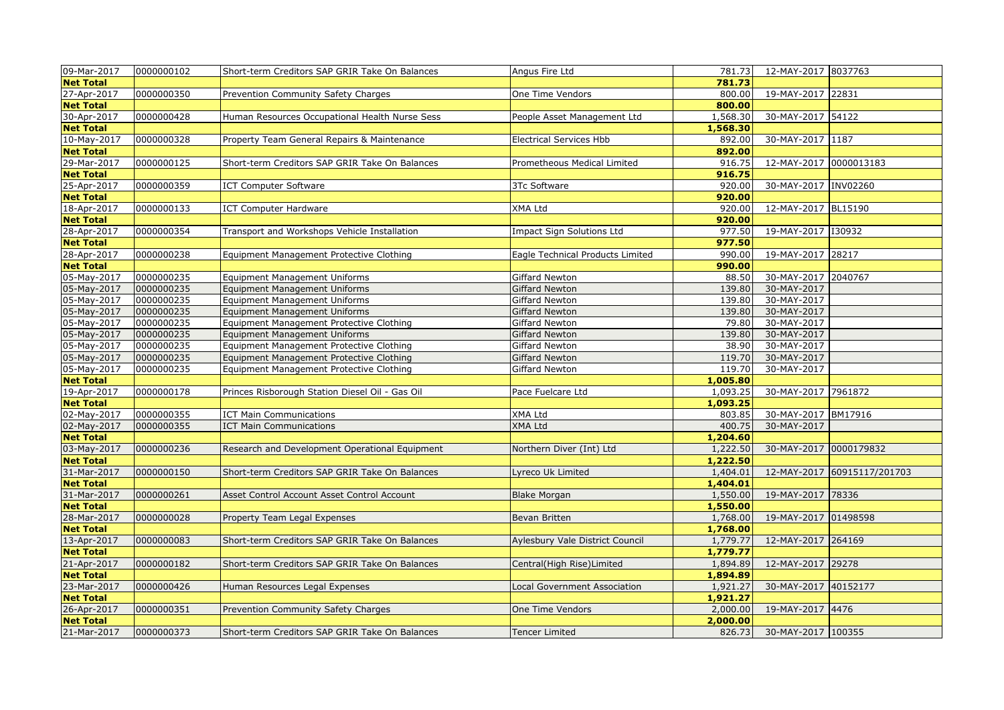| 09-Mar-2017      | 0000000102 | Short-term Creditors SAP GRIR Take On Balances  | Angus Fire Ltd                      | 781.73   | 12-MAY-2017 8037763    |                             |
|------------------|------------|-------------------------------------------------|-------------------------------------|----------|------------------------|-----------------------------|
| <b>Net Total</b> |            |                                                 |                                     | 781.73   |                        |                             |
| 27-Apr-2017      | 0000000350 | Prevention Community Safety Charges             | One Time Vendors                    | 800.00   | 19-MAY-2017 22831      |                             |
| <b>Net Total</b> |            |                                                 |                                     | 800.00   |                        |                             |
| 30-Apr-2017      | 0000000428 | Human Resources Occupational Health Nurse Sess  | People Asset Management Ltd         | 1,568.30 | 30-MAY-2017 54122      |                             |
| <b>Net Total</b> |            |                                                 |                                     | 1,568.30 |                        |                             |
| 10-May-2017      | 0000000328 | Property Team General Repairs & Maintenance     | <b>Electrical Services Hbb</b>      | 892.00   | 30-MAY-2017 1187       |                             |
| <b>Net Total</b> |            |                                                 |                                     | 892.00   |                        |                             |
| 29-Mar-2017      | 0000000125 | Short-term Creditors SAP GRIR Take On Balances  | Prometheous Medical Limited         | 916.75   | 12-MAY-2017 0000013183 |                             |
| <b>Net Total</b> |            |                                                 |                                     | 916.75   |                        |                             |
| 25-Apr-2017      | 0000000359 | <b>ICT Computer Software</b>                    | 3Tc Software                        | 920.00   | 30-MAY-2017 INV02260   |                             |
| <b>Net Total</b> |            |                                                 |                                     | 920.00   |                        |                             |
| 18-Apr-2017      | 0000000133 | <b>ICT Computer Hardware</b>                    | <b>XMA Ltd</b>                      | 920.00   | 12-MAY-2017 BL15190    |                             |
| <b>Net Total</b> |            |                                                 |                                     | 920.00   |                        |                             |
| 28-Apr-2017      | 0000000354 | Transport and Workshops Vehicle Installation    | Impact Sign Solutions Ltd           | 977.50   | 19-MAY-2017 130932     |                             |
| <b>Net Total</b> |            |                                                 |                                     | 977.50   |                        |                             |
| 28-Apr-2017      | 0000000238 | Equipment Management Protective Clothing        | Eagle Technical Products Limited    | 990.00   | 19-MAY-2017 28217      |                             |
| <b>Net Total</b> |            |                                                 |                                     | 990.00   |                        |                             |
| 05-May-2017      | 0000000235 | <b>Equipment Management Uniforms</b>            | Giffard Newton                      | 88.50    | 30-MAY-2017 2040767    |                             |
| 05-May-2017      | 0000000235 | Equipment Management Uniforms                   | Giffard Newton                      | 139.80   | 30-MAY-2017            |                             |
| 05-May-2017      | 0000000235 | Equipment Management Uniforms                   | Giffard Newton                      | 139.80   | 30-MAY-2017            |                             |
| 05-May-2017      | 0000000235 | <b>Equipment Management Uniforms</b>            | Giffard Newton                      | 139.80   | 30-MAY-2017            |                             |
| 05-May-2017      | 0000000235 | Equipment Management Protective Clothing        | Giffard Newton                      | 79.80    | 30-MAY-2017            |                             |
| 05-May-2017      | 0000000235 | <b>Equipment Management Uniforms</b>            | Giffard Newton                      | 139.80   | 30-MAY-2017            |                             |
| 05-May-2017      | 0000000235 | Equipment Management Protective Clothing        | Giffard Newton                      | 38.90    | 30-MAY-2017            |                             |
| 05-May-2017      | 0000000235 | Equipment Management Protective Clothing        | Giffard Newton                      | 119.70   | 30-MAY-2017            |                             |
| 05-May-2017      | 0000000235 | Equipment Management Protective Clothing        | Giffard Newton                      | 119.70   | 30-MAY-2017            |                             |
| <b>Net Total</b> |            |                                                 |                                     | 1,005.80 |                        |                             |
| 19-Apr-2017      | 0000000178 | Princes Risborough Station Diesel Oil - Gas Oil | Pace Fuelcare Ltd                   | 1,093.25 | 30-MAY-2017 7961872    |                             |
| <b>Net Total</b> |            |                                                 |                                     | 1,093.25 |                        |                             |
| 02-May-2017      | 0000000355 | <b>ICT Main Communications</b>                  | XMA Ltd                             | 803.85   | 30-MAY-2017 BM17916    |                             |
| 02-May-2017      | 0000000355 | <b>ICT Main Communications</b>                  | XMA Ltd                             | 400.75   | 30-MAY-2017            |                             |
| <b>Net Total</b> |            |                                                 |                                     | 1,204.60 |                        |                             |
| 03-May-2017      | 0000000236 | Research and Development Operational Equipment  | Northern Diver (Int) Ltd            | 1,222.50 | 30-MAY-2017 0000179832 |                             |
| <b>Net Total</b> |            |                                                 |                                     | 1,222.50 |                        |                             |
| 31-Mar-2017      | 0000000150 | Short-term Creditors SAP GRIR Take On Balances  | yreco Uk Limited                    | 1,404.01 |                        | 12-MAY-2017 60915117/201703 |
| <b>Net Total</b> |            |                                                 |                                     | 1,404.01 |                        |                             |
| 31-Mar-2017      | 0000000261 | Asset Control Account Asset Control Account     | <b>Blake Morgan</b>                 | 1,550.00 | 19-MAY-2017 78336      |                             |
| <b>Net Total</b> |            |                                                 |                                     | 1,550.00 |                        |                             |
| 28-Mar-2017      | 0000000028 | Property Team Legal Expenses                    | Bevan Britten                       | 1,768.00 | 19-MAY-2017 01498598   |                             |
| <b>Net Total</b> |            |                                                 |                                     | 1,768.00 |                        |                             |
| 13-Apr-2017      | 0000000083 | Short-term Creditors SAP GRIR Take On Balances  | Aylesbury Vale District Council     | 1,779.77 | 12-MAY-2017 264169     |                             |
| <b>Net Total</b> |            |                                                 |                                     | 1,779.77 |                        |                             |
| 21-Apr-2017      | 0000000182 | Short-term Creditors SAP GRIR Take On Balances  | Central(High Rise)Limited           | 1,894.89 | 12-MAY-2017 29278      |                             |
| <b>Net Total</b> |            |                                                 |                                     | 1,894.89 |                        |                             |
| 23-Mar-2017      | 0000000426 | Human Resources Legal Expenses                  | <b>Local Government Association</b> | 1,921.27 | 30-MAY-2017 40152177   |                             |
| <b>Net Total</b> |            |                                                 |                                     | 1,921.27 |                        |                             |
| 26-Apr-2017      | 0000000351 | Prevention Community Safety Charges             | One Time Vendors                    | 2,000.00 | 19-MAY-2017 4476       |                             |
| <b>Net Total</b> |            |                                                 |                                     | 2,000.00 |                        |                             |
| 21-Mar-2017      | 0000000373 | Short-term Creditors SAP GRIR Take On Balances  | <b>Tencer Limited</b>               | 826.73   | 30-MAY-2017 100355     |                             |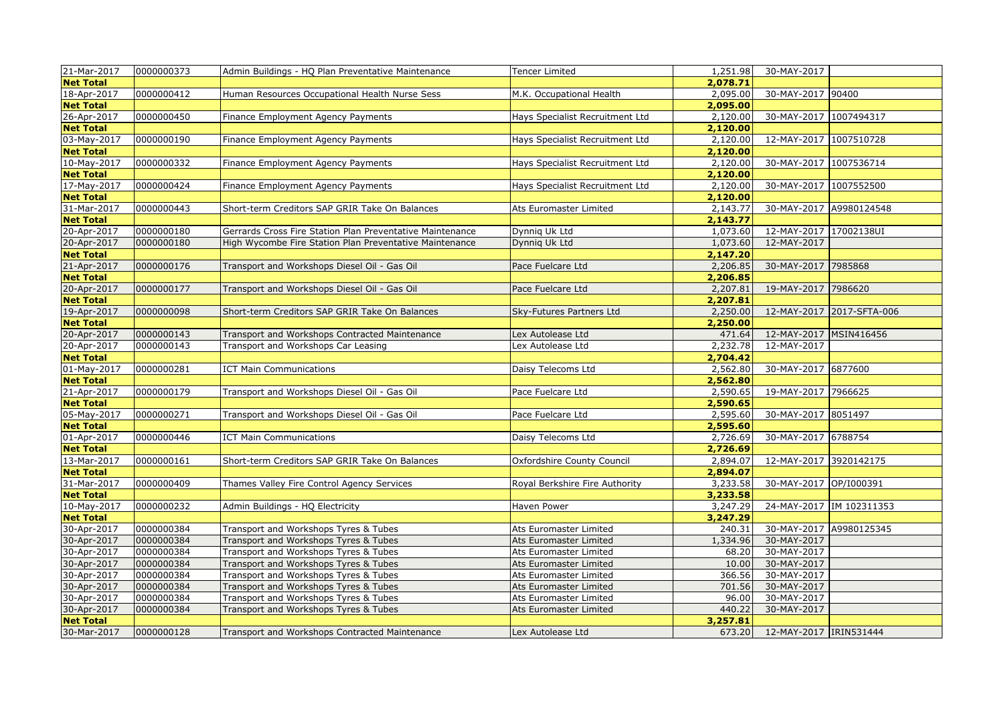| 21-Mar-2017       | 0000000373 | Admin Buildings - HQ Plan Preventative Maintenance        | <b>Tencer Limited</b>                  | 1,251.98 | 30-MAY-2017             |                           |
|-------------------|------------|-----------------------------------------------------------|----------------------------------------|----------|-------------------------|---------------------------|
| <b>Net Total</b>  |            |                                                           |                                        | 2,078.71 |                         |                           |
| 18-Apr-2017       | 0000000412 | Human Resources Occupational Health Nurse Sess            | M.K. Occupational Health               | 2,095.00 | 30-MAY-2017 90400       |                           |
| <b>Net Total</b>  |            |                                                           |                                        | 2,095.00 |                         |                           |
| 26-Apr-2017       | 0000000450 | Finance Employment Agency Payments                        | Hays Specialist Recruitment Ltd        | 2,120.00 | 30-MAY-2017 1007494317  |                           |
| <b>Net Total</b>  |            |                                                           |                                        | 2,120.00 |                         |                           |
| 03-May-2017       | 0000000190 | Finance Employment Agency Payments                        | <b>Hays Specialist Recruitment Ltd</b> | 2,120.00 | 12-MAY-2017 1007510728  |                           |
| <b>Net Total</b>  |            |                                                           |                                        | 2,120.00 |                         |                           |
| 10-May-2017       | 0000000332 | Finance Employment Agency Payments                        | <b>Hays Specialist Recruitment Ltd</b> | 2,120.00 | 30-MAY-2017 1007536714  |                           |
| <b>Net Total</b>  |            |                                                           |                                        | 2,120.00 |                         |                           |
| 17-May-2017       | 0000000424 | Finance Employment Agency Payments                        | Hays Specialist Recruitment Ltd        | 2,120.00 | 30-MAY-2017 1007552500  |                           |
| <b>Net Total</b>  |            |                                                           |                                        | 2,120.00 |                         |                           |
| $31$ -Mar-2017    | 0000000443 | Short-term Creditors SAP GRIR Take On Balances            | Ats Euromaster Limited                 | 2,143.77 | 30-MAY-2017 A9980124548 |                           |
| <b>Net Total</b>  |            |                                                           |                                        | 2,143.77 |                         |                           |
| 20-Apr-2017       | 0000000180 | Gerrards Cross Fire Station Plan Preventative Maintenance | Dynnig Uk Ltd                          | 1,073.60 | 12-MAY-2017 17002138UI  |                           |
| 20-Apr-2017       | 0000000180 | High Wycombe Fire Station Plan Preventative Maintenance   | Dynnig Uk Ltd                          | 1,073.60 | 12-MAY-2017             |                           |
| <b>Net Total</b>  |            |                                                           |                                        | 2,147.20 |                         |                           |
| 21-Apr-2017       | 0000000176 | Transport and Workshops Diesel Oil - Gas Oil              | Pace Fuelcare Ltd                      | 2,206.85 | 30-MAY-2017 7985868     |                           |
| <b>Net Total</b>  |            |                                                           |                                        | 2,206.85 |                         |                           |
| 20-Apr-2017       | 0000000177 | Transport and Workshops Diesel Oil - Gas Oil              | Pace Fuelcare Ltd                      | 2,207.81 | 19-MAY-2017 7986620     |                           |
| <b>Net Total</b>  |            |                                                           |                                        | 2,207.81 |                         |                           |
| 19-Apr-2017       | 0000000098 | Short-term Creditors SAP GRIR Take On Balances            | Sky-Futures Partners Ltd               | 2,250.00 |                         | 12-MAY-2017 2017-SFTA-006 |
| <b>Net Total</b>  |            |                                                           |                                        | 2,250.00 |                         |                           |
| 20-Apr-2017       | 0000000143 | Transport and Workshops Contracted Maintenance            | Lex Autolease Ltd                      | 471.64   | 12-MAY-2017 MSIN416456  |                           |
| 20-Apr-2017       | 0000000143 | Transport and Workshops Car Leasing                       | Lex Autolease Ltd                      | 2,232.78 | 12-MAY-2017             |                           |
| <b>Net Total</b>  |            |                                                           |                                        | 2,704.42 |                         |                           |
| $01 - May - 2017$ | 0000000281 | <b>ICT Main Communications</b>                            | Daisy Telecoms Ltd                     | 2,562.80 | 30-MAY-2017 6877600     |                           |
| <b>Net Total</b>  |            |                                                           |                                        | 2,562.80 |                         |                           |
| 21-Apr-2017       | 0000000179 | Transport and Workshops Diesel Oil - Gas Oil              | Pace Fuelcare Ltd                      | 2,590.65 | 19-MAY-2017 7966625     |                           |
| <b>Net Total</b>  |            |                                                           |                                        | 2,590.65 |                         |                           |
| 05-May-2017       | 0000000271 | Transport and Workshops Diesel Oil - Gas Oil              | Pace Fuelcare Ltd                      | 2,595.60 | 30-MAY-2017 8051497     |                           |
| <b>Net Total</b>  |            |                                                           |                                        | 2,595.60 |                         |                           |
| 01-Apr-2017       | 0000000446 | <b>ICT Main Communications</b>                            | Daisy Telecoms Ltd                     | 2,726.69 | 30-MAY-2017 6788754     |                           |
| <b>Net Total</b>  |            |                                                           |                                        | 2,726.69 |                         |                           |
| 13-Mar-2017       | 0000000161 | Short-term Creditors SAP GRIR Take On Balances            | Oxfordshire County Council             | 2,894.07 | 12-MAY-2017 3920142175  |                           |
| <b>Net Total</b>  |            |                                                           |                                        | 2,894.07 |                         |                           |
| 31-Mar-2017       | 0000000409 | Thames Valley Fire Control Agency Services                | Royal Berkshire Fire Authority         | 3,233.58 | 30-MAY-2017 OP/I000391  |                           |
| <b>Net Total</b>  |            |                                                           |                                        | 3,233.58 |                         |                           |
| 10-May-2017       | 0000000232 | Admin Buildings - HQ Electricity                          | Haven Power                            | 3,247.29 |                         | 24-MAY-2017 IM 102311353  |
| <b>Net Total</b>  |            |                                                           |                                        | 3,247.29 |                         |                           |
| 30-Apr-2017       | 0000000384 | Transport and Workshops Tyres & Tubes                     | Ats Euromaster Limited                 | 240.31   | 30-MAY-2017 A9980125345 |                           |
| 30-Apr-2017       | 0000000384 | Transport and Workshops Tyres & Tubes                     | Ats Euromaster Limited                 | 1,334.96 | 30-MAY-2017             |                           |
| 30-Apr-2017       | 0000000384 | Transport and Workshops Tyres & Tubes                     | Ats Euromaster Limited                 | 68.20    | 30-MAY-2017             |                           |
| 30-Apr-2017       | 0000000384 | Transport and Workshops Tyres & Tubes                     | Ats Euromaster Limited                 | 10.00    | 30-MAY-2017             |                           |
| 30-Apr-2017       | 0000000384 | Transport and Workshops Tyres & Tubes                     | Ats Euromaster Limited                 | 366.56   | 30-MAY-2017             |                           |
| 30-Apr-2017       | 0000000384 | Transport and Workshops Tyres & Tubes                     | Ats Euromaster Limited                 | 701.56   | 30-MAY-2017             |                           |
| 30-Apr-2017       | 0000000384 | Transport and Workshops Tyres & Tubes                     | Ats Euromaster Limited                 | 96.00    | 30-MAY-2017             |                           |
| 30-Apr-2017       | 0000000384 | Transport and Workshops Tyres & Tubes                     | Ats Euromaster Limited                 | 440.22   | 30-MAY-2017             |                           |
| <b>Net Total</b>  |            |                                                           |                                        | 3,257.81 |                         |                           |
| 30-Mar-2017       | 0000000128 | Transport and Workshops Contracted Maintenance            | Lex Autolease Ltd                      | 673.20   | 12-MAY-2017 IRIN531444  |                           |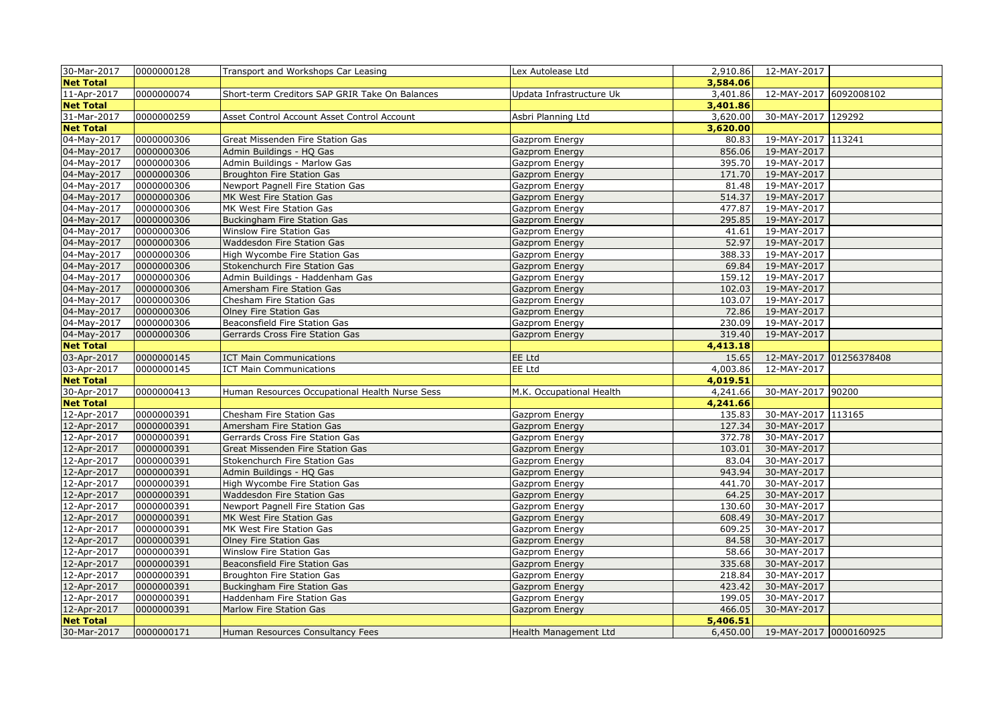| 30-Mar-2017                     | 0000000128 | Transport and Workshops Car Leasing            | Lex Autolease Ltd        | 2,910.86 | 12-MAY-2017                     |                         |
|---------------------------------|------------|------------------------------------------------|--------------------------|----------|---------------------------------|-------------------------|
| <b>Net Total</b>                |            |                                                |                          | 3,584.06 |                                 |                         |
| 11-Apr-2017                     | 0000000074 | Short-term Creditors SAP GRIR Take On Balances | Updata Infrastructure Uk | 3,401.86 | 12-MAY-2017 6092008102          |                         |
| <b>Net Total</b>                |            |                                                |                          | 3,401.86 |                                 |                         |
| 31-Mar-2017                     | 0000000259 | Asset Control Account Asset Control Account    | Asbri Planning Ltd       | 3,620.00 | 30-MAY-2017 129292              |                         |
| <b>Net Total</b>                |            |                                                |                          | 3,620.00 |                                 |                         |
| 04-May-2017                     | 0000000306 | Great Missenden Fire Station Gas               | Gazprom Energy           | 80.83    | 19-MAY-2017 113241              |                         |
| 04-May-2017                     | 0000000306 | Admin Buildings - HQ Gas                       | Gazprom Energy           | 856.06   | 19-MAY-2017                     |                         |
| 04-May-2017                     | 0000000306 | Admin Buildings - Marlow Gas                   | Gazprom Energy           | 395.70   | 19-MAY-2017                     |                         |
| 04-May-2017                     | 0000000306 | Broughton Fire Station Gas                     | Gazprom Energy           | 171.70   | 19-MAY-2017                     |                         |
| 04-May-2017                     | 0000000306 | Newport Pagnell Fire Station Gas               | Gazprom Energy           | 81.48    | 19-MAY-2017                     |                         |
| 04-May-2017                     | 0000000306 | MK West Fire Station Gas                       | Gazprom Energy           | 514.37   | 19-MAY-2017                     |                         |
| 04-May-2017                     | 0000000306 | MK West Fire Station Gas                       | Gazprom Energy           | 477.87   | 19-MAY-2017                     |                         |
| 04-May-2017                     | 0000000306 | Buckingham Fire Station Gas                    | Gazprom Energy           | 295.85   | 19-MAY-2017                     |                         |
| 04-May-2017                     | 0000000306 | Winslow Fire Station Gas                       | Gazprom Energy           | 41.61    | 19-MAY-2017                     |                         |
| 04-May-2017                     | 0000000306 | Waddesdon Fire Station Gas                     | Gazprom Energy           | 52.97    | 19-MAY-2017                     |                         |
| 04-May-2017                     | 0000000306 | High Wycombe Fire Station Gas                  | Gazprom Energy           | 388.33   | 19-MAY-2017                     |                         |
| 04-May-2017                     | 0000000306 | Stokenchurch Fire Station Gas                  | Gazprom Energy           | 69.84    | 19-MAY-2017                     |                         |
| 04-May-2017                     | 0000000306 | Admin Buildings - Haddenham Gas                | Gazprom Energy           | 159.12   | 19-MAY-2017                     |                         |
| 04-May-2017                     | 0000000306 | Amersham Fire Station Gas                      | Gazprom Energy           | 102.03   | 19-MAY-2017                     |                         |
| 04-May-2017                     | 0000000306 | Chesham Fire Station Gas                       | Gazprom Energy           | 103.07   | 19-MAY-2017                     |                         |
| 04-May-2017                     | 0000000306 | Olney Fire Station Gas                         | Gazprom Energy           | 72.86    | 19-MAY-2017                     |                         |
| 04-May-2017                     | 0000000306 | Beaconsfield Fire Station Gas                  | Gazprom Energy           | 230.09   | 19-MAY-2017                     |                         |
| 04-May-2017                     | 0000000306 | Gerrards Cross Fire Station Gas                | Gazprom Energy           | 319.40   | 19-MAY-2017                     |                         |
| <b>Net Total</b>                |            |                                                |                          | 4,413.18 |                                 |                         |
|                                 |            |                                                |                          |          |                                 |                         |
|                                 |            |                                                |                          |          |                                 |                         |
| 03-Apr-2017                     | 0000000145 | <b>ICT Main Communications</b>                 | EE Ltd                   | 15.65    |                                 | 12-MAY-2017 01256378408 |
| 03-Apr-2017                     | 0000000145 | <b>ICT Main Communications</b>                 | EE Ltd                   | 4,003.86 | 12-MAY-2017                     |                         |
| <b>Net Total</b>                |            |                                                |                          | 4,019.51 |                                 |                         |
| 30-Apr-2017                     | 0000000413 | Human Resources Occupational Health Nurse Sess | M.K. Occupational Health | 4,241.66 | 30-MAY-2017 90200               |                         |
| <b>Net Total</b>                |            |                                                |                          | 4,241.66 |                                 |                         |
| 12-Apr-2017                     | 0000000391 | Chesham Fire Station Gas                       | Gazprom Energy           | 135.83   | 30-MAY-2017 113165              |                         |
| 12-Apr-2017                     | 0000000391 | Amersham Fire Station Gas                      | Gazprom Energy           | 127.34   | 30-MAY-2017                     |                         |
| 12-Apr-2017                     | 0000000391 | Gerrards Cross Fire Station Gas                | Gazprom Energy           | 372.78   | 30-MAY-2017                     |                         |
| 12-Apr-2017                     | 0000000391 | Great Missenden Fire Station Gas               | Gazprom Energy           | 103.01   | 30-MAY-2017                     |                         |
| 12-Apr-2017                     | 0000000391 | Stokenchurch Fire Station Gas                  | Gazprom Energy           | 83.04    | 30-MAY-2017                     |                         |
| 12-Apr-2017                     | 0000000391 | Admin Buildings - HQ Gas                       | Gazprom Energy           | 943.94   | 30-MAY-2017                     |                         |
| 12-Apr-2017                     | 0000000391 | High Wycombe Fire Station Gas                  | Gazprom Energy           | 441.70   | 30-MAY-2017                     |                         |
| 12-Apr-2017                     | 0000000391 | Waddesdon Fire Station Gas                     | Gazprom Energy           | 64.25    | 30-MAY-2017                     |                         |
| 12-Apr-2017                     | 0000000391 | Newport Pagnell Fire Station Gas               | Gazprom Energy           | 130.60   | 30-MAY-2017                     |                         |
| 12-Apr-2017                     | 0000000391 | MK West Fire Station Gas                       | Gazprom Energy           | 608.49   | 30-MAY-2017                     |                         |
| 12-Apr-2017                     | 0000000391 | MK West Fire Station Gas                       | Gazprom Energy           | 609.25   | 30-MAY-2017                     |                         |
| 12-Apr-2017                     | 0000000391 | Olney Fire Station Gas                         | Gazprom Energy           | 84.58    | 30-MAY-2017                     |                         |
| 12-Apr-2017                     | 0000000391 | Winslow Fire Station Gas                       | Gazprom Energy           | 58.66    | 30-MAY-2017                     |                         |
| 12-Apr-2017                     | 0000000391 | Beaconsfield Fire Station Gas                  | Gazprom Energy           | 335.68   | 30-MAY-2017                     |                         |
| 12-Apr-2017                     | 0000000391 | Broughton Fire Station Gas                     | Gazprom Energy           | 218.84   | 30-MAY-2017                     |                         |
| 12-Apr-2017                     | 0000000391 | Buckingham Fire Station Gas                    | Gazprom Energy           | 423.42   | 30-MAY-2017                     |                         |
| 12-Apr-2017                     | 0000000391 | Haddenham Fire Station Gas                     | Gazprom Energy           | 199.05   | 30-MAY-2017                     |                         |
| 12-Apr-2017                     | 0000000391 | Marlow Fire Station Gas                        | Gazprom Energy           | 466.05   | 30-MAY-2017                     |                         |
| <b>Net Total</b><br>30-Mar-2017 | 0000000171 | Human Resources Consultancy Fees               | Health Management Ltd    | 5,406.51 | 6,450.00 19-MAY-2017 0000160925 |                         |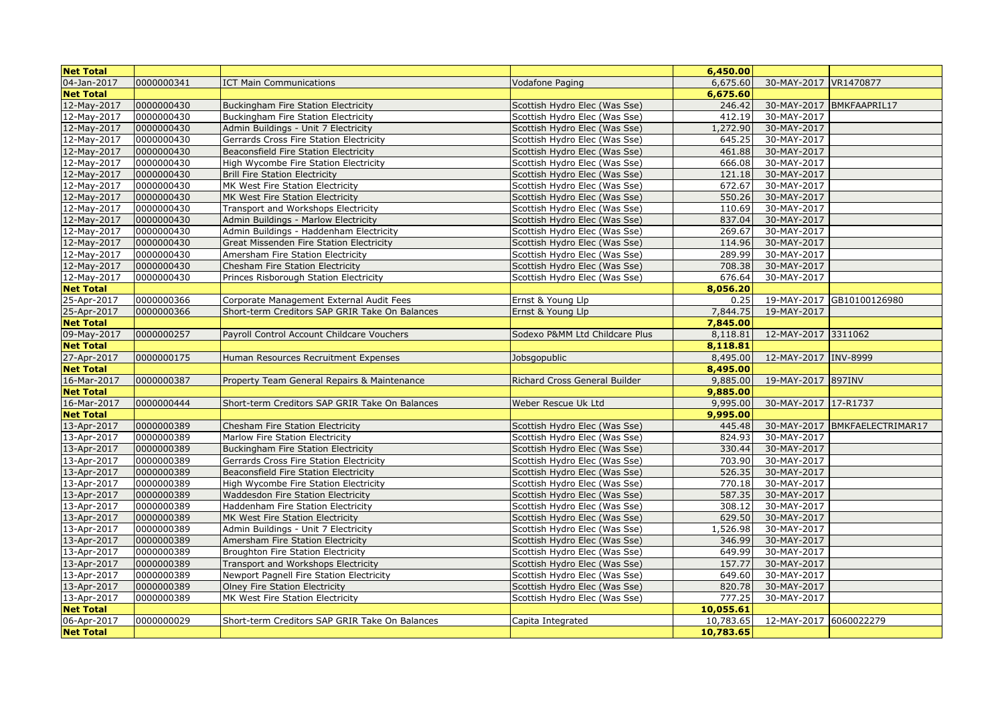| <b>Net Total</b> |            |                                                |                                | 6,450.00  |                         |                               |
|------------------|------------|------------------------------------------------|--------------------------------|-----------|-------------------------|-------------------------------|
| 04-Jan-2017      | 0000000341 | <b>ICT Main Communications</b>                 | Vodafone Paging                | 6,675.60  | 30-MAY-2017   VR1470877 |                               |
| <b>Net Total</b> |            |                                                |                                | 6,675.60  |                         |                               |
| 12-May-2017      | 0000000430 | <b>Buckingham Fire Station Electricity</b>     | Scottish Hydro Elec (Was Sse)  | 246.42    |                         | 30-MAY-2017 BMKFAAPRIL17      |
| 12-May-2017      | 0000000430 | Buckingham Fire Station Electricity            | Scottish Hydro Elec (Was Sse)  | 412.19    | 30-MAY-2017             |                               |
| 12-May-2017      | 0000000430 | Admin Buildings - Unit 7 Electricity           | Scottish Hydro Elec (Was Sse)  | 1,272.90  | 30-MAY-2017             |                               |
| 12-May-2017      | 0000000430 | Gerrards Cross Fire Station Electricity        | Scottish Hydro Elec (Was Sse)  | 645.25    | 30-MAY-2017             |                               |
| 12-May-2017      | 0000000430 | Beaconsfield Fire Station Electricity          | Scottish Hydro Elec (Was Sse)  | 461.88    | 30-MAY-2017             |                               |
| 12-May-2017      | 0000000430 | High Wycombe Fire Station Electricity          | Scottish Hydro Elec (Was Sse)  | 666.08    | 30-MAY-2017             |                               |
| 12-May-2017      | 0000000430 | <b>Brill Fire Station Electricity</b>          | Scottish Hydro Elec (Was Sse)  | 121.18    | 30-MAY-2017             |                               |
| 12-May-2017      | 0000000430 | MK West Fire Station Electricity               | Scottish Hydro Elec (Was Sse)  | 672.67    | 30-MAY-2017             |                               |
| 12-May-2017      | 0000000430 | MK West Fire Station Electricity               | Scottish Hydro Elec (Was Sse)  | 550.26    | 30-MAY-2017             |                               |
| 12-May-2017      | 0000000430 | Transport and Workshops Electricity            | Scottish Hydro Elec (Was Sse)  | 110.69    | 30-MAY-2017             |                               |
| 12-May-2017      | 0000000430 | Admin Buildings - Marlow Electricity           | Scottish Hydro Elec (Was Sse)  | 837.04    | 30-MAY-2017             |                               |
| 12-May-2017      | 0000000430 | Admin Buildings - Haddenham Electricity        | Scottish Hydro Elec (Was Sse)  | 269.67    | 30-MAY-2017             |                               |
| 12-May-2017      | 0000000430 | Great Missenden Fire Station Electricity       | Scottish Hydro Elec (Was Sse)  | 114.96    | 30-MAY-2017             |                               |
| 12-May-2017      | 0000000430 | Amersham Fire Station Electricity              | Scottish Hydro Elec (Was Sse)  | 289.99    | 30-MAY-2017             |                               |
| 12-May-2017      | 0000000430 | Chesham Fire Station Electricity               | Scottish Hydro Elec (Was Sse)  | 708.38    | 30-MAY-2017             |                               |
| 12-May-2017      | 0000000430 | Princes Risborough Station Electricity         | Scottish Hydro Elec (Was Sse)  | 676.64    | 30-MAY-2017             |                               |
| <b>Net Total</b> |            |                                                |                                | 8,056.20  |                         |                               |
| 25-Apr-2017      | 0000000366 | Corporate Management External Audit Fees       | Ernst & Young Llp              | 0.25      |                         | 19-MAY-2017 GB10100126980     |
| 25-Apr-2017      | 0000000366 | Short-term Creditors SAP GRIR Take On Balances | Ernst & Young Llp              | 7,844.75  | 19-MAY-2017             |                               |
| <b>Net Total</b> |            |                                                |                                | 7,845.00  |                         |                               |
| 09-May-2017      | 0000000257 | Payroll Control Account Childcare Vouchers     | Sodexo P&MM Ltd Childcare Plus | 8,118.81  | 12-MAY-2017 3311062     |                               |
| <b>Net Total</b> |            |                                                |                                | 8,118.81  |                         |                               |
| 27-Apr-2017      | 0000000175 | Human Resources Recruitment Expenses           | Jobsgopublic                   | 8,495.00  | 12-MAY-2017 INV-8999    |                               |
| <b>Net Total</b> |            |                                                |                                | 8,495.00  |                         |                               |
| 16-Mar-2017      | 0000000387 | Property Team General Repairs & Maintenance    | Richard Cross General Builder  | 9,885.00  | 19-MAY-2017 897INV      |                               |
| <b>Net Total</b> |            |                                                |                                | 9,885.00  |                         |                               |
| 16-Mar-2017      | 0000000444 | Short-term Creditors SAP GRIR Take On Balances | Weber Rescue Uk Ltd            | 9,995.00  | 30-MAY-2017 17-R1737    |                               |
| <b>Net Total</b> |            |                                                |                                | 9,995.00  |                         |                               |
| 13-Apr-2017      | 0000000389 | Chesham Fire Station Electricity               | Scottish Hydro Elec (Was Sse)  | 445.48    |                         | 30-MAY-2017 BMKFAELECTRIMAR17 |
| 13-Apr-2017      | 0000000389 | Marlow Fire Station Electricity                | Scottish Hydro Elec (Was Sse)  | 824.93    | 30-MAY-2017             |                               |
| 13-Apr-2017      | 0000000389 | <b>Buckingham Fire Station Electricity</b>     | Scottish Hydro Elec (Was Sse)  | 330.44    | 30-MAY-2017             |                               |
| 13-Apr-2017      | 0000000389 | Gerrards Cross Fire Station Electricity        | Scottish Hydro Elec (Was Sse)  | 703.90    | 30-MAY-2017             |                               |
| 13-Apr-2017      | 0000000389 | Beaconsfield Fire Station Electricity          | Scottish Hydro Elec (Was Sse)  | 526.35    | 30-MAY-2017             |                               |
| 13-Apr-2017      | 0000000389 | High Wycombe Fire Station Electricity          | Scottish Hydro Elec (Was Sse)  | 770.18    | 30-MAY-2017             |                               |
| 13-Apr-2017      | 0000000389 | <b>Waddesdon Fire Station Electricity</b>      | Scottish Hydro Elec (Was Sse)  | 587.35    | 30-MAY-2017             |                               |
| 13-Apr-2017      | 0000000389 | Haddenham Fire Station Electricity             | Scottish Hydro Elec (Was Sse)  | 308.12    | 30-MAY-2017             |                               |
| 13-Apr-2017      | 0000000389 | MK West Fire Station Electricity               | Scottish Hydro Elec (Was Sse)  | 629.50    | 30-MAY-2017             |                               |
| 13-Apr-2017      | 0000000389 | Admin Buildings - Unit 7 Electricity           | Scottish Hydro Elec (Was Sse)  | 1,526.98  | 30-MAY-2017             |                               |
| 13-Apr-2017      | 0000000389 | Amersham Fire Station Electricity              | Scottish Hydro Elec (Was Sse)  | 346.99    | 30-MAY-2017             |                               |
| 13-Apr-2017      | 0000000389 | <b>Broughton Fire Station Electricity</b>      | Scottish Hydro Elec (Was Sse)  | 649.99    | 30-MAY-2017             |                               |
| 13-Apr-2017      | 0000000389 | Transport and Workshops Electricity            | Scottish Hydro Elec (Was Sse)  | 157.77    | 30-MAY-2017             |                               |
| 13-Apr-2017      | 0000000389 | Newport Pagnell Fire Station Electricity       | Scottish Hydro Elec (Was Sse)  | 649.60    | 30-MAY-2017             |                               |
| 13-Apr-2017      | 0000000389 | Olney Fire Station Electricity                 | Scottish Hydro Elec (Was Sse)  | 820.78    | 30-MAY-2017             |                               |
| 13-Apr-2017      | 0000000389 | MK West Fire Station Electricity               | Scottish Hydro Elec (Was Sse)  | 777.25    | 30-MAY-2017             |                               |
| <b>Net Total</b> |            |                                                |                                | 10,055.61 |                         |                               |
| 06-Apr-2017      | 0000000029 | Short-term Creditors SAP GRIR Take On Balances | Capita Integrated              | 10,783.65 | 12-MAY-2017 6060022279  |                               |
| <b>Net Total</b> |            |                                                |                                | 10,783.65 |                         |                               |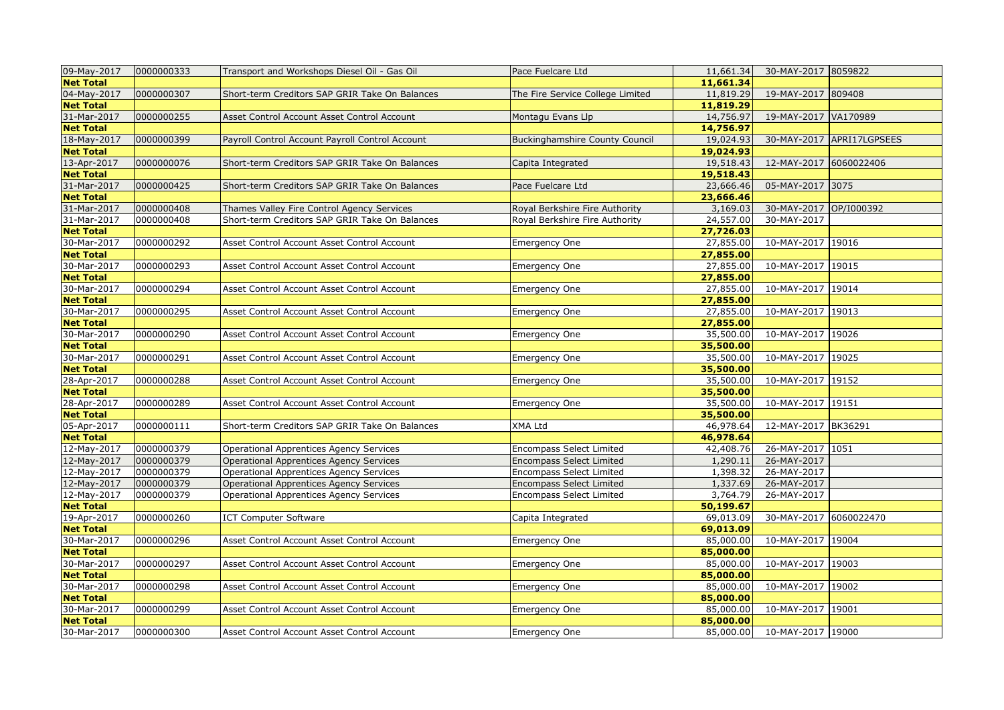| 09-May-2017      | 0000000333 | Transport and Workshops Diesel Oil - Gas Oil    | Pace Fuelcare Ltd                     | 11,661.34 | 30-MAY-2017 8059822    |                           |
|------------------|------------|-------------------------------------------------|---------------------------------------|-----------|------------------------|---------------------------|
| <b>Net Total</b> |            |                                                 |                                       | 11,661.34 |                        |                           |
| 04-May-2017      | 0000000307 | Short-term Creditors SAP GRIR Take On Balances  | The Fire Service College Limited      | 11,819.29 | 19-MAY-2017 809408     |                           |
| <b>Net Total</b> |            |                                                 |                                       | 11,819.29 |                        |                           |
| 31-Mar-2017      | 0000000255 | Asset Control Account Asset Control Account     | Montagu Evans Llp                     | 14,756.97 | 19-MAY-2017 VA170989   |                           |
| <b>Net Total</b> |            |                                                 |                                       | 14,756.97 |                        |                           |
| 18-May-2017      | 0000000399 | Payroll Control Account Payroll Control Account | <b>Buckinghamshire County Council</b> | 19,024.93 |                        | 30-MAY-2017 APRI17LGPSEES |
| <b>Net Total</b> |            |                                                 |                                       | 19,024.93 |                        |                           |
| 13-Apr-2017      | 0000000076 | Short-term Creditors SAP GRIR Take On Balances  | Capita Integrated                     | 19,518.43 | 12-MAY-2017 6060022406 |                           |
| <b>Net Total</b> |            |                                                 |                                       | 19,518.43 |                        |                           |
| 31-Mar-2017      | 0000000425 | Short-term Creditors SAP GRIR Take On Balances  | Pace Fuelcare Ltd                     | 23,666.46 | 05-MAY-2017 3075       |                           |
| <b>Net Total</b> |            |                                                 |                                       | 23,666.46 |                        |                           |
| 31-Mar-2017      | 0000000408 | Thames Valley Fire Control Agency Services      | Royal Berkshire Fire Authority        | 3,169.03  | 30-MAY-2017 OP/I000392 |                           |
| 31-Mar-2017      | 0000000408 | Short-term Creditors SAP GRIR Take On Balances  | Royal Berkshire Fire Authority        | 24,557.00 | 30-MAY-2017            |                           |
| <b>Net Total</b> |            |                                                 |                                       | 27,726.03 |                        |                           |
| 30-Mar-2017      | 0000000292 | Asset Control Account Asset Control Account     | Emergency One                         | 27,855.00 | 10-MAY-2017 19016      |                           |
| <b>Net Total</b> |            |                                                 |                                       | 27,855.00 |                        |                           |
| 30-Mar-2017      | 0000000293 | Asset Control Account Asset Control Account     | Emergency One                         | 27,855.00 | 10-MAY-2017 19015      |                           |
| <b>Net Total</b> |            |                                                 |                                       | 27,855.00 |                        |                           |
| 30-Mar-2017      | 0000000294 | Asset Control Account Asset Control Account     | Emergency One                         | 27,855.00 | 10-MAY-2017 19014      |                           |
| <b>Net Total</b> |            |                                                 |                                       | 27,855.00 |                        |                           |
| 30-Mar-2017      | 0000000295 | Asset Control Account Asset Control Account     | <b>Emergency One</b>                  | 27,855.00 | 10-MAY-2017 19013      |                           |
| <b>Net Total</b> |            |                                                 |                                       | 27,855.00 |                        |                           |
| 30-Mar-2017      | 0000000290 | Asset Control Account Asset Control Account     | Emergency One                         | 35,500.00 | 10-MAY-2017 19026      |                           |
| <b>Net Total</b> |            |                                                 |                                       | 35,500.00 |                        |                           |
| 30-Mar-2017      | 0000000291 | Asset Control Account Asset Control Account     | <b>Emergency One</b>                  | 35,500.00 | 10-MAY-2017 19025      |                           |
| <b>Net Total</b> |            |                                                 |                                       | 35,500.00 |                        |                           |
| 28-Apr-2017      | 0000000288 | Asset Control Account Asset Control Account     | Emergency One                         | 35,500.00 | 10-MAY-2017 19152      |                           |
| <b>Net Total</b> |            |                                                 |                                       | 35,500.00 |                        |                           |
| 28-Apr-2017      | 0000000289 | Asset Control Account Asset Control Account     | <b>Emergency One</b>                  | 35,500.00 | 10-MAY-2017 19151      |                           |
| <b>Net Total</b> |            |                                                 |                                       | 35,500.00 |                        |                           |
| 05-Apr-2017      | 0000000111 | Short-term Creditors SAP GRIR Take On Balances  | XMA Ltd                               | 46,978.64 | 12-MAY-2017 BK36291    |                           |
| <b>Net Total</b> |            |                                                 |                                       | 46,978.64 |                        |                           |
| 12-May-2017      | 0000000379 | <b>Operational Apprentices Agency Services</b>  | <b>Encompass Select Limited</b>       | 42,408.76 | 26-MAY-2017 1051       |                           |
| 12-May-2017      | 0000000379 | <b>Operational Apprentices Agency Services</b>  | <b>Encompass Select Limited</b>       | 1,290.11  | 26-MAY-2017            |                           |
| 12-May-2017      | 0000000379 | Operational Apprentices Agency Services         | <b>Encompass Select Limited</b>       | 1,398.32  | 26-MAY-2017            |                           |
| 12-May-2017      | 0000000379 | <b>Operational Apprentices Agency Services</b>  | <b>Encompass Select Limited</b>       | 1,337.69  | 26-MAY-2017            |                           |
| 12-May-2017      | 0000000379 | <b>Operational Apprentices Agency Services</b>  | Encompass Select Limited              | 3,764.79  | 26-MAY-2017            |                           |
| <b>Net Total</b> |            |                                                 |                                       | 50,199.67 |                        |                           |
| 19-Apr-2017      | 0000000260 | <b>ICT Computer Software</b>                    | Capita Integrated                     | 69,013.09 | 30-MAY-2017 6060022470 |                           |
| <b>Net Total</b> |            |                                                 |                                       | 69,013.09 |                        |                           |
| 30-Mar-2017      | 0000000296 | Asset Control Account Asset Control Account     | <b>Emergency One</b>                  | 85,000.00 | 10-MAY-2017 19004      |                           |
| <b>Net Total</b> |            |                                                 |                                       | 85,000.00 |                        |                           |
| 30-Mar-2017      | 0000000297 | Asset Control Account Asset Control Account     | Emergency One                         | 85,000.00 | 10-MAY-2017 19003      |                           |
| <b>Net Total</b> |            |                                                 |                                       | 85,000.00 |                        |                           |
| 30-Mar-2017      | 0000000298 | Asset Control Account Asset Control Account     | <b>Emergency One</b>                  | 85,000.00 | 10-MAY-2017 19002      |                           |
| <b>Net Total</b> |            |                                                 |                                       | 85,000.00 |                        |                           |
| 30-Mar-2017      | 0000000299 | Asset Control Account Asset Control Account     | Emergency One                         | 85,000.00 | 10-MAY-2017 19001      |                           |
| <b>Net Total</b> |            |                                                 |                                       | 85,000.00 |                        |                           |
|                  | 0000000300 |                                                 |                                       | 85,000.00 | 10-MAY-2017 19000      |                           |
| 30-Mar-2017      |            | Asset Control Account Asset Control Account     | <b>Emergency One</b>                  |           |                        |                           |